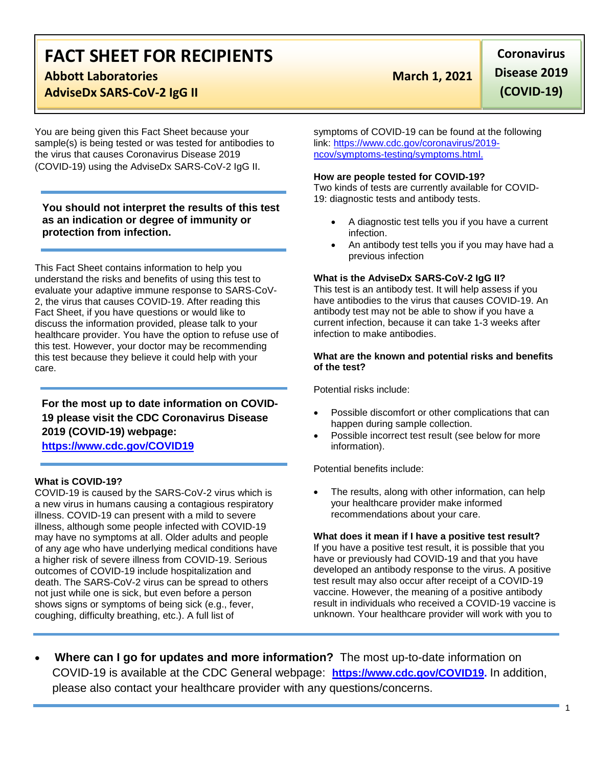# **FACT SHEET FOR RECIPIENTS**

# **Abbott Laboratories March 1, 2021**

### **AdviseDx SARS-CoV-2 IgG II**

You are being given this Fact Sheet because your sample(s) is being tested or was tested for antibodies to the virus that causes Coronavirus Disease 2019 (COVID-19) using the AdviseDx SARS-CoV-2 IgG II.

**You should not interpret the results of this test as an indication or degree of immunity or protection from infection.**

This Fact Sheet contains information to help you understand the risks and benefits of using this test to evaluate your adaptive immune response to SARS-CoV-2, the virus that causes COVID-19. After reading this Fact Sheet, if you have questions or would like to discuss the information provided, please talk to your healthcare provider. You have the option to refuse use of this test. However, your doctor may be recommending this test because they believe it could help with your care.

**For the most up to date information on COVID-19 please visit the CDC Coronavirus Disease 2019 (COVID-19) webpage: [https://www.cdc.gov/COVID19](https://www.cdc.gov/nCoV)**

### **What is COVID-19?**

COVID-19 is caused by the SARS-CoV-2 virus which is a new virus in humans causing a contagious respiratory illness. COVID-19 can present with a mild to severe illness, although some people infected with COVID-19 may have no symptoms at all. Older adults and people of any age who have underlying medical conditions have a higher risk of severe illness from COVID-19. Serious outcomes of COVID-19 include hospitalization and death. The SARS-CoV-2 virus can be spread to others not just while one is sick, but even before a person shows signs or symptoms of being sick (e.g., fever, coughing, difficulty breathing, etc.). A full list of

**Coronavirus Disease 2019 (COVID-19)**

symptoms of COVID-19 can be found at the following link: [https://www.cdc.gov/coronavirus/2019](https://www.cdc.gov/coronavirus/2019-ncov/symptoms-testing/symptoms.html) [ncov/symptoms-testing/symptoms.html.](https://www.cdc.gov/coronavirus/2019-ncov/symptoms-testing/symptoms.html)

#### **How are people tested for COVID-19?**

Two kinds of tests are currently available for COVID-19: diagnostic tests and antibody tests.

- A diagnostic test tells you if you have a current infection.
- An antibody test tells you if you may have had a previous infection

#### **What is the AdviseDx SARS-CoV-2 IgG II?**

This test is an antibody test. It will help assess if you have antibodies to the virus that causes COVID-19. An antibody test may not be able to show if you have a current infection, because it can take 1-3 weeks after infection to make antibodies.

#### **What are the known and potential risks and benefits of the test?**

Potential risks include:

- Possible discomfort or other complications that can happen during sample collection.
- Possible incorrect test result (see below for more information).

Potential benefits include:

The results, along with other information, can help your healthcare provider make informed recommendations about your care.

#### **What does it mean if I have a positive test result?**

If you have a positive test result, it is possible that you have or previously had COVID-19 and that you have developed an antibody response to the virus. A positive test result may also occur after receipt of a COVID-19 vaccine. However, the meaning of a positive antibody result in individuals who received a COVID-19 vaccine is unknown. Your healthcare provider will work with you to

• **Where can I go for updates and more information?** The most up-to-date information on COVID-19 is available at the CDC General webpage: **[https://www.cdc.gov/COVID19.](https://www.cdc.gov/nCoV)** In addition, please also contact your healthcare provider with any questions/concerns.